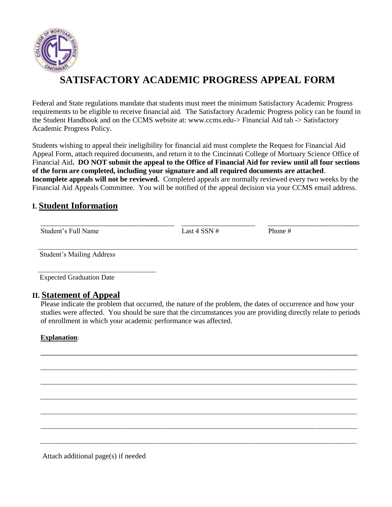

# **SATISFACTORY ACADEMIC PROGRESS APPEAL FORM**

Federal and State regulations mandate that students must meet the minimum Satisfactory Academic Progress requirements to be eligible to receive financial aid. The Satisfactory Academic Progress policy can be found in the Student Handbook and on the CCMS website at: www.ccms.edu-> Financial Aid tab -> Satisfactory Academic Progress Policy.

Students wishing to appeal their ineligibility for financial aid must complete the Request for Financial Aid Appeal Form, attach required documents, and return it to the Cincinnati College of Mortuary Science Office of Financial Aid**. DO NOT submit the appeal to the Office of Financial Aid for review until all four sections of the form are completed, including your signature and all required documents are attached**. **Incomplete appeals will not be reviewed.** Completed appeals are normally reviewed every two weeks by the Financial Aid Appeals Committee. You will be notified of the appeal decision via your CCMS email address.

## **I. Student Information**

| Student's Full Name | Last 4 SSN # | Phone # |  |
|---------------------|--------------|---------|--|
|                     |              |         |  |

Student's Mailing Address

Expected Graduation Date

\_\_\_\_\_\_\_\_\_\_\_\_\_\_\_\_\_\_\_\_\_\_\_\_\_\_\_\_\_\_\_\_\_\_\_\_\_

## **II. Statement of Appeal**

Please indicate the problem that occurred, the nature of the problem, the dates of occurrence and how your studies were affected. You should be sure that the circumstances you are providing directly relate to periods of enrollment in which your academic performance was affected.

**\_\_\_\_\_\_\_\_\_\_\_\_\_\_\_\_\_\_\_\_\_\_\_\_\_\_\_\_\_\_\_\_\_\_\_\_\_\_\_\_\_\_\_\_\_\_\_\_\_\_\_\_\_\_\_\_\_\_\_\_\_\_\_\_\_\_\_\_\_\_\_\_\_\_\_\_\_\_\_\_\_\_\_\_\_\_\_\_\_\_\_\_\_\_\_\_\_\_\_**

\_\_\_\_\_\_\_\_\_\_\_\_\_\_\_\_\_\_\_\_\_\_\_\_\_\_\_\_\_\_\_\_\_\_\_\_\_\_\_\_\_\_\_\_\_\_\_\_\_\_\_\_\_\_\_\_\_\_\_\_\_\_\_\_\_\_\_\_\_\_\_\_\_\_\_\_\_\_\_\_\_\_\_\_\_\_\_\_\_\_\_\_\_\_\_\_\_\_\_

\_\_\_\_\_\_\_\_\_\_\_\_\_\_\_\_\_\_\_\_\_\_\_\_\_\_\_\_\_\_\_\_\_\_\_\_\_\_\_\_\_\_\_\_\_\_\_\_\_\_\_\_\_\_\_\_\_\_\_\_\_\_\_\_\_\_\_\_\_\_\_\_\_\_\_\_\_\_\_\_\_\_\_\_\_\_\_\_\_\_\_\_\_\_\_\_\_\_\_

\_\_\_\_\_\_\_\_\_\_\_\_\_\_\_\_\_\_\_\_\_\_\_\_\_\_\_\_\_\_\_\_\_\_\_\_\_\_\_\_\_\_\_\_\_\_\_\_\_\_\_\_\_\_\_\_\_\_\_\_\_\_\_\_\_\_\_\_\_\_\_\_\_\_\_\_\_\_\_\_\_\_\_\_\_\_\_\_\_\_\_\_\_\_\_\_\_\_\_

\_\_\_\_\_\_\_\_\_\_\_\_\_\_\_\_\_\_\_\_\_\_\_\_\_\_\_\_\_\_\_\_\_\_\_\_\_\_\_\_\_\_\_\_\_\_\_\_\_\_\_\_\_\_\_\_\_\_\_\_\_\_\_\_\_\_\_\_\_\_\_\_\_\_\_\_\_\_\_\_\_\_\_\_\_\_\_\_\_\_\_\_\_\_\_\_\_\_\_

 $\overline{\phantom{a}}$  , and the set of the set of the set of the set of the set of the set of the set of the set of the set of the set of the set of the set of the set of the set of the set of the set of the set of the set of the s

 $\overline{\phantom{a}}$  , and the contribution of the contribution of the contribution of the contribution of the contribution of the contribution of the contribution of the contribution of the contribution of the contribution of the

#### **Explanation**:

Attach additional page(s) if needed